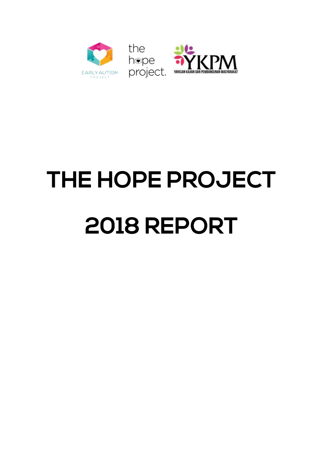

# **THE HOPE PROJECT 2018 REPORT**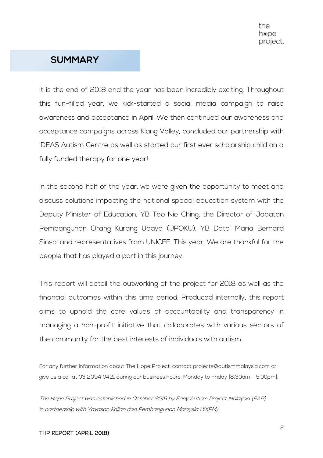#### **SUMMARY**

It is the end of 2018 and the year has been incredibly exciting. Throughout this fun-filled year, we kick-started a social media campaign to raise awareness and acceptance in April. We then continued our awareness and acceptance campaigns across Klang Valley, concluded our partnership with IDEAS Autism Centre as well as started our first ever scholarship child on a fully funded therapy for one year!

In the second half of the year, we were given the opportunity to meet and discuss solutions impacting the national special education system with the Deputy Minister of Education, YB Teo Nie Ching, the Director of Jabatan Pembangunan Orang Kurang Upaya (JPOKU), YB Dato' Maria Bernard Sinsoi and representatives from UNICEF. This year, We are thankful for the people that has played a part in this journey.

This report will detail the outworking of the project for 2018 as well as the financial outcomes within this time period. Produced internally, this report aims to uphold the core values of accountability and transparency in managing a non-profit initiative that collaborates with various sectors of the community for the best interests of individuals with autism.

For any further information about The Hope Project, contact projects@autismmalaysia.com or give us a call at 03 2094 0421 during our business hours: Monday to Friday [8:30am – 5:00pm].

The Hope Project was established in October 2016 by Early Autism Project Malaysia (EAP) in partnership with Yayasan Kajian dan Pembangunan Malaysia (YKPM).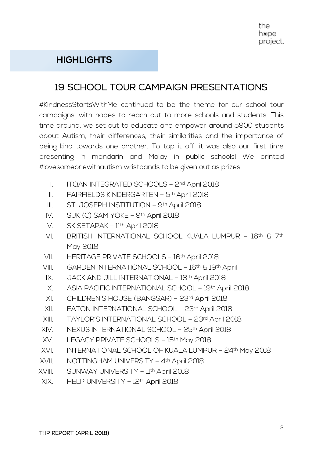#### **HIGHLIGHTS**

## 19 SCHOOL TOUR CAMPAIGN PRESENTATIONS

#KindnessStartsWithMe continued to be the theme for our school tour campaigns, with hopes to reach out to more schools and students. This time around, we set out to educate and empower around 5900 students about Autism, their differences, their similarities and the importance of being kind towards one another. To top it off, it was also our first time presenting in mandarin and Malay in public schools! We printed #lovesomeonewithautism wristbands to be given out as prizes.

- I. ITQAN INTEGRATED SCHOOLS 2<sup>nd</sup> April 2018
- II. FAIRFIELDS KINDERGARTEN 5th April 2018
- III. ST. JOSEPH INSTITUTION 9th April 2018
- IV. SJK (C) SAM YOKE 9th April 2018
- V. SK SETAPAK 11<sup>th</sup> April 2018
- VI. BRITISH INTERNATIONAL SCHOOL KUALA LUMPUR 16th & 7th May 2018
- VII. HERITAGE PRIVATE SCHOOLS 16th April 2018
- VIII. GARDEN INTERNATIONAL SCHOOL 16th & 19th April
- IX. JACK AND JILL INTERNATIONAL 18th April 2018
- X. ASIA PACIFIC INTERNATIONAL SCHOOL 19th April 2018
- XI. CHILDREN'S HOUSE (BANGSAR) 23rd April 2018
- XII. EATON INTERNATIONAL SCHOOL 23rd April 2018
- XIII. TAYLOR'S INTERNATIONAL SCHOOL 23rd April 2018
- XIV. NEXUS INTERNATIONAL SCHOOL 25th April 2018
- XV. LEGACY PRIVATE SCHOOLS 15th May 2018
- XVI. INTERNATIONAL SCHOOL OF KUALA LUMPUR 24th May 2018
- XVII. NOTTINGHAM UNIVERSITY 4th April 2018
- XVIII. SUNWAY UNIVERSITY 11th April 2018
- XIX. HELP UNIVERSITY 12th April 2018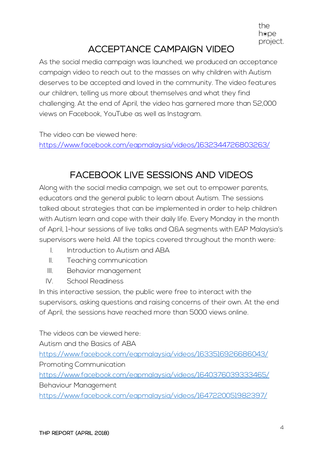# ACCEPTANCE CAMPAIGN VIDEO

As the social media campaign was launched, we produced an acceptance campaign video to reach out to the masses on why children with Autism deserves to be accepted and loved in the community. The video features our children, telling us more about themselves and what they find challenging. At the end of April, the video has garnered more than 52,000 views on Facebook, YouTube as well as Instagram.

The video can be viewed here: https://www.facebook.com/eapmalaysia/videos/1632344726803263/

# FACEBOOK LIVE SESSIONS AND VIDEOS

Along with the social media campaign, we set out to empower parents, educators and the general public to learn about Autism. The sessions talked about strategies that can be implemented in order to help children with Autism learn and cope with their daily life. Every Monday in the month of April, 1-hour sessions of live talks and Q&A segments with EAP Malaysia's supervisors were held. All the topics covered throughout the month were:

- I. Introduction to Autism and ABA
- II. Teaching communication
- III. Behavior management
- IV. School Readiness

In this interactive session, the public were free to interact with the supervisors, asking questions and raising concerns of their own. At the end of April, the sessions have reached more than 5000 views online.

The videos can be viewed here:

Autism and the Basics of ABA

https://www.facebook.com/eapmalaysia/videos/1633516926686043/ Promoting Communication

https://www.facebook.com/eapmalaysia/videos/1640376039333465/ Behaviour Management

https://www.facebook.com/eapmalaysia/videos/1647220051982397/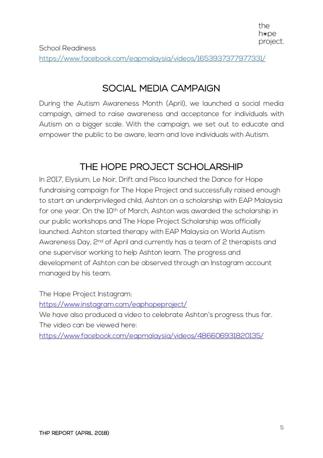## SOCIAL MEDIA CAMPAIGN

During the Autism Awareness Month (April), we launched a social media campaign, aimed to raise awareness and acceptance for individuals with Autism on a bigger scale. With the campaign, we set out to educate and empower the public to be aware, learn and love individuals with Autism.

# THE HOPE PROJECT SCHOLARSHIP

In 2017, Elysium, Le Noir, Drift and Pisco launched the Dance for Hope fundraising campaign for The Hope Project and successfully raised enough to start an underprivileged child, Ashton on a scholarship with EAP Malaysia for one year. On the 10<sup>th</sup> of March, Ashton was awarded the scholarship in our public workshops and The Hope Project Scholarship was officially launched. Ashton started therapy with EAP Malaysia on World Autism Awareness Day, 2<sup>nd</sup> of April and currently has a team of 2 therapists and one supervisor working to help Ashton learn. The progress and development of Ashton can be observed through an Instagram account managed by his team.

The Hope Project Instagram: https://www.instagram.com/eaphopeproject/ We have also produced a video to celebrate Ashton's progress thus far. The video can be viewed here: https://www.facebook.com/eapmalaysia/videos/486606931820135/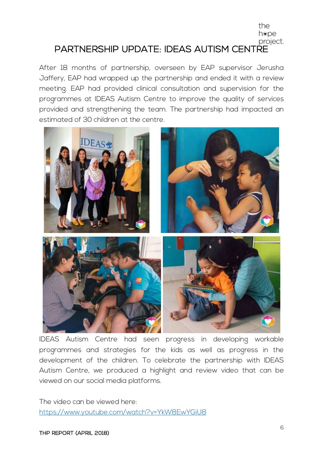#### the hone project. PARTNERSHIP UPDATE: IDEAS AUTISM CENTRE

After 18 months of partnership, overseen by EAP supervisor Jerusha Jaffery, EAP had wrapped up the partnership and ended it with a review meeting. EAP had provided clinical consultation and supervision for the programmes at IDEAS Autism Centre to improve the quality of services provided and strengthening the team. The partnership had impacted an estimated of 30 children at the centre.



IDEAS Autism Centre had seen progress in developing workable programmes and strategies for the kids as well as progress in the development of the children. To celebrate the partnership with IDEAS Autism Centre, we produced a highlight and review video that can be viewed on our social media platforms.

The video can be viewed here: https://www.youtube.com/watch?v=YkW8EwYGiU8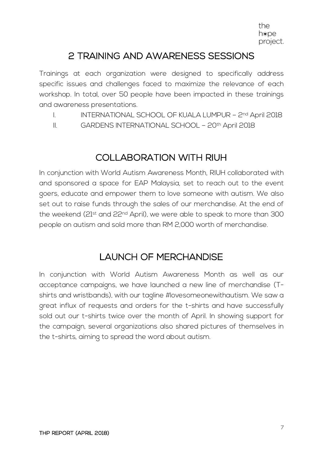## 2 TRAINING AND AWARENESS SESSIONS

 Trainings at each organization were designed to specifically address specific issues and challenges faced to maximize the relevance of each workshop. In total, over 50 people have been impacted in these trainings and awareness presentations.

I. INTERNATIONAL SCHOOL OF KUALA LUMPUR - 2nd April 2018

II. GARDENS INTERNATIONAL SCHOOL – 20th April 2018

#### COLLABORATION WITH RIUH

In conjunction with World Autism Awareness Month, RIUH collaborated with and sponsored a space for EAP Malaysia, set to reach out to the event goers, educate and empower them to love someone with autism. We also set out to raise funds through the sales of our merchandise. At the end of the weekend (21<sup>st</sup> and 22<sup>nd</sup> April), we were able to speak to more than 300 people on autism and sold more than RM 2,000 worth of merchandise.

#### LAUNCH OF MERCHANDISE

 In conjunction with World Autism Awareness Month as well as our acceptance campaigns, we have launched a new line of merchandise (Tshirts and wristbands), with our tagline #lovesomeonewithautism. We saw a great influx of requests and orders for the t-shirts and have successfully sold out our t-shirts twice over the month of April. In showing support for the campaign, several organizations also shared pictures of themselves in the t-shirts, aiming to spread the word about autism.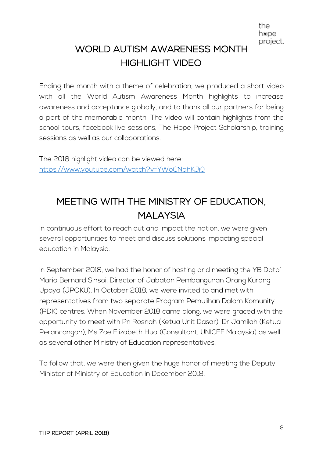the hone project.

# WORLD AUTISM AWARENESS MONTH HIGHLIGHT VIDEO

Ending the month with a theme of celebration, we produced a short video with all the World Autism Awareness Month highlights to increase awareness and acceptance globally, and to thank all our partners for being a part of the memorable month. The video will contain highlights from the school tours, facebook live sessions, The Hope Project Scholarship, training sessions as well as our collaborations.

The 2018 highlight video can be viewed here: https://www.youtube.com/watch?v=YWoCNahKJi0

# MEETING WITH THE MINISTRY OF EDUCATION, MAI AYSIA

In continuous effort to reach out and impact the nation, we were given several opportunities to meet and discuss solutions impacting special education in Malaysia.

In September 2018, we had the honor of hosting and meeting the YB Dato' Maria Bernard Sinsoi, Director of Jabatan Pembangunan Orang Kurang Upaya (JPOKU). In October 2018, we were invited to and met with representatives from two separate Program Pemulihan Dalam Komunity (PDK) centres. When November 2018 came along, we were graced with the opportunity to meet with Pn Rosnah (Ketua Unit Dasar), Dr Jamilah (Ketua Perancangan), Ms Zoe Elizabeth Hua (Consultant, UNICEF Malaysia) as well as several other Ministry of Education representatives.

To follow that, we were then given the huge honor of meeting the Deputy Minister of Ministry of Education in December 2018.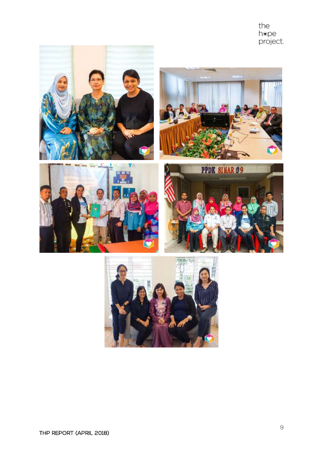the<br>h®pe<br>project.



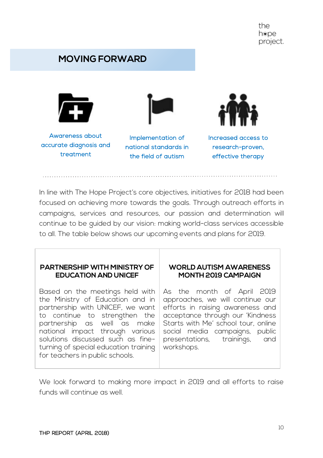the hone project.

#### **MOVING FORWARD**



Awareness about accurate diagnosis and treatment



Implementation of national standards in the field of autism



Increased access to research-proven, effective therapy

In line with The Hope Project's core objectives, initiatives for 2018 had been focused on achieving more towards the goals. Through outreach efforts in campaigns, services and resources, our passion and determination will continue to be guided by our vision: making world-class services accessible to all. The table below shows our upcoming events and plans for 2019.

#### **PARTNERSHIP WITH MINISTRY OF EDUCATION AND UNICEF**

Based on the meetings held with the Ministry of Education and in partnership with UNICEF, we want to continue to strengthen the partnership as well as make national impact through various solutions discussed such as fineturning of special education training for teachers in public schools.

#### **WORLD AUTISM AWARENESS MONTH 2019 CAMPAIGN**

As the month of April 2019 approaches, we will continue our efforts in raising awareness and acceptance through our 'Kindness Starts with Me' school tour, online social media campaigns, public presentations, trainings, and workshops.

We look forward to making more impact in 2019 and all efforts to raise funds will continue as well.